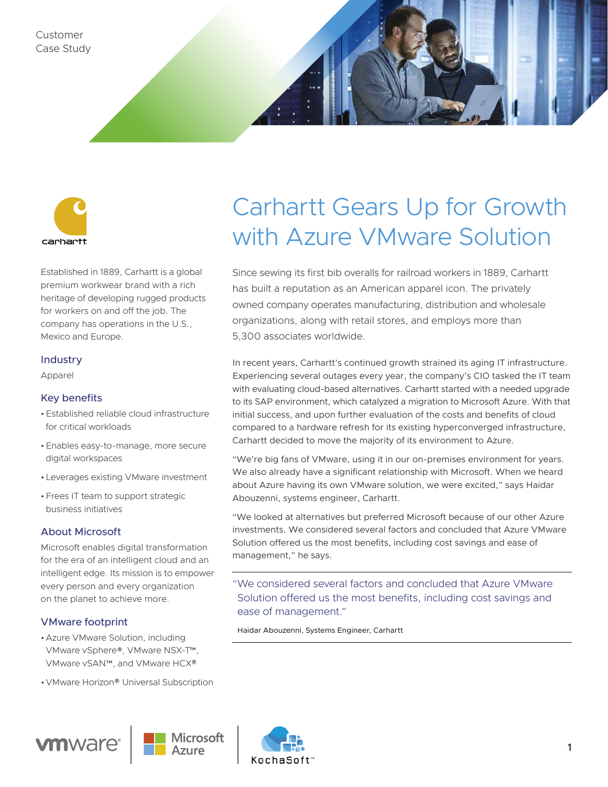



Established in 1889, Carhartt is a global premium workwear brand with a rich heritage of developing rugged products for workers on and off the job. The company has operations in the U.S., Mexico and Europe.

#### Industry

Apparel

#### Key benefits

- •Established reliable cloud infrastructure for critical workloads
- •Enables easy-to-manage, more secure digital workspaces
- •Leverages existing VMware investment
- •Frees IT team to support strategic business initiatives

### About Microsoft

Microsoft enables digital transformation for the era of an intelligent cloud and an intelligent edge. Its mission is to empower every person and every organization on the planet to achieve more.

#### VMware footprint

- •Azure VMware Solution, including VMware vSphere®, VMware NSX-T™, VMware vSAN™, and VMware HCX®
- •VMware Horizon® Universal Subscription







Since sewing its first bib overalls for railroad workers in 1889, Carhartt has built a reputation as an American apparel icon. The privately owned company operates manufacturing, distribution and wholesale organizations, along with retail stores, and employs more than 5,300 associates worldwide.

In recent years, Carhartt's continued growth strained its aging IT infrastructure. Experiencing several outages every year, the company's CIO tasked the IT team with evaluating cloud-based alternatives. Carhartt started with a needed upgrade to its SAP environment, which catalyzed a migration to Microsoft Azure. With that initial success, and upon further evaluation of the costs and benefits of cloud compared to a hardware refresh for its existing hyperconverged infrastructure, Carhartt decided to move the majority of its environment to Azure.

"We're big fans of VMware, using it in our on-premises environment for years. We also already have a significant relationship with Microsoft. When we heard about Azure having its own VMware solution, we were excited," says Haidar Abouzenni, systems engineer, Carhartt.

"We looked at alternatives but preferred Microsoft because of our other Azure investments. We considered several factors and concluded that Azure VMware Solution offered us the most benefits, including cost savings and ease of management," he says.

"We considered several factors and concluded that Azure VMware Solution offered us the most benefits, including cost savings and ease of management."

Haidar Abouzenni, Systems Engineer, Carhartt

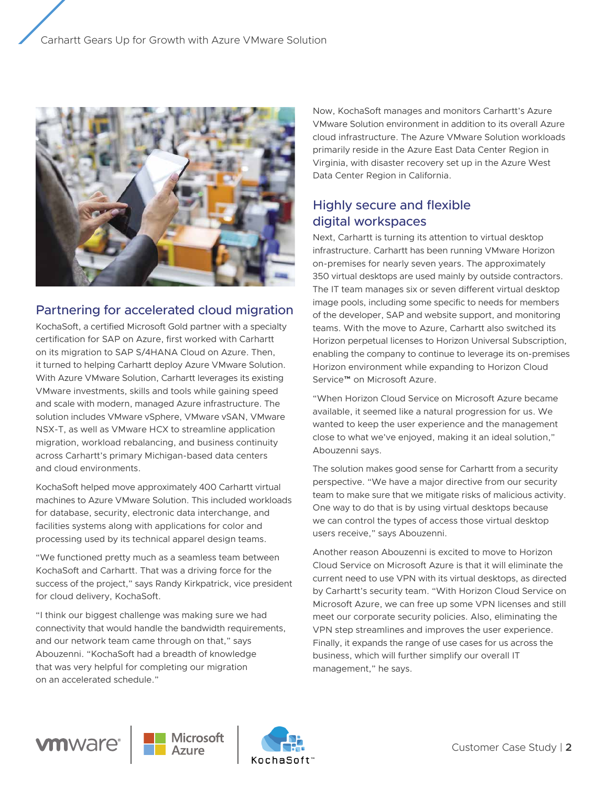

## Partnering for accelerated cloud migration

KochaSoft, a certified Microsoft Gold partner with a specialty certification for SAP on Azure, first worked with Carhartt on its migration to SAP S/4HANA Cloud on Azure. Then, it turned to helping Carhartt deploy Azure VMware Solution. With Azure VMware Solution, Carhartt leverages its existing VMware investments, skills and tools while gaining speed and scale with modern, managed Azure infrastructure. The solution includes VMware vSphere, VMware vSAN, VMware NSX-T, as well as VMware HCX to streamline application migration, workload rebalancing, and business continuity across Carhartt's primary Michigan-based data centers and cloud environments.

KochaSoft helped move approximately 400 Carhartt virtual machines to Azure VMware Solution. This included workloads for database, security, electronic data interchange, and facilities systems along with applications for color and processing used by its technical apparel design teams.

"We functioned pretty much as a seamless team between KochaSoft and Carhartt. That was a driving force for the success of the project," says Randy Kirkpatrick, vice president for cloud delivery, KochaSoft.

"I think our biggest challenge was making sure we had connectivity that would handle the bandwidth requirements, and our network team came through on that," says Abouzenni. "KochaSoft had a breadth of knowledge that was very helpful for completing our migration on an accelerated schedule."

Now, KochaSoft manages and monitors Carhartt's Azure VMware Solution environment in addition to its overall Azure cloud infrastructure. The Azure VMware Solution workloads primarily reside in the Azure East Data Center Region in Virginia, with disaster recovery set up in the Azure West Data Center Region in California.

## Highly secure and flexible digital workspaces

Next, Carhartt is turning its attention to virtual desktop infrastructure. Carhartt has been running VMware Horizon on-premises for nearly seven years. The approximately 350 virtual desktops are used mainly by outside contractors. The IT team manages six or seven different virtual desktop image pools, including some specific to needs for members of the developer, SAP and website support, and monitoring teams. With the move to Azure, Carhartt also switched its Horizon perpetual licenses to Horizon Universal Subscription, enabling the company to continue to leverage its on-premises Horizon environment while expanding to Horizon Cloud Service™ on Microsoft Azure.

"When Horizon Cloud Service on Microsoft Azure became available, it seemed like a natural progression for us. We wanted to keep the user experience and the management close to what we've enjoyed, making it an ideal solution," Abouzenni says.

The solution makes good sense for Carhartt from a security perspective. "We have a major directive from our security team to make sure that we mitigate risks of malicious activity. One way to do that is by using virtual desktops because we can control the types of access those virtual desktop users receive," says Abouzenni.

Another reason Abouzenni is excited to move to Horizon Cloud Service on Microsoft Azure is that it will eliminate the current need to use VPN with its virtual desktops, as directed by Carhartt's security team. "With Horizon Cloud Service on Microsoft Azure, we can free up some VPN licenses and still meet our corporate security policies. Also, eliminating the VPN step streamlines and improves the user experience. Finally, it expands the range of use cases for us across the business, which will further simplify our overall IT management," he says.

# **vm**ware<sup>®</sup>